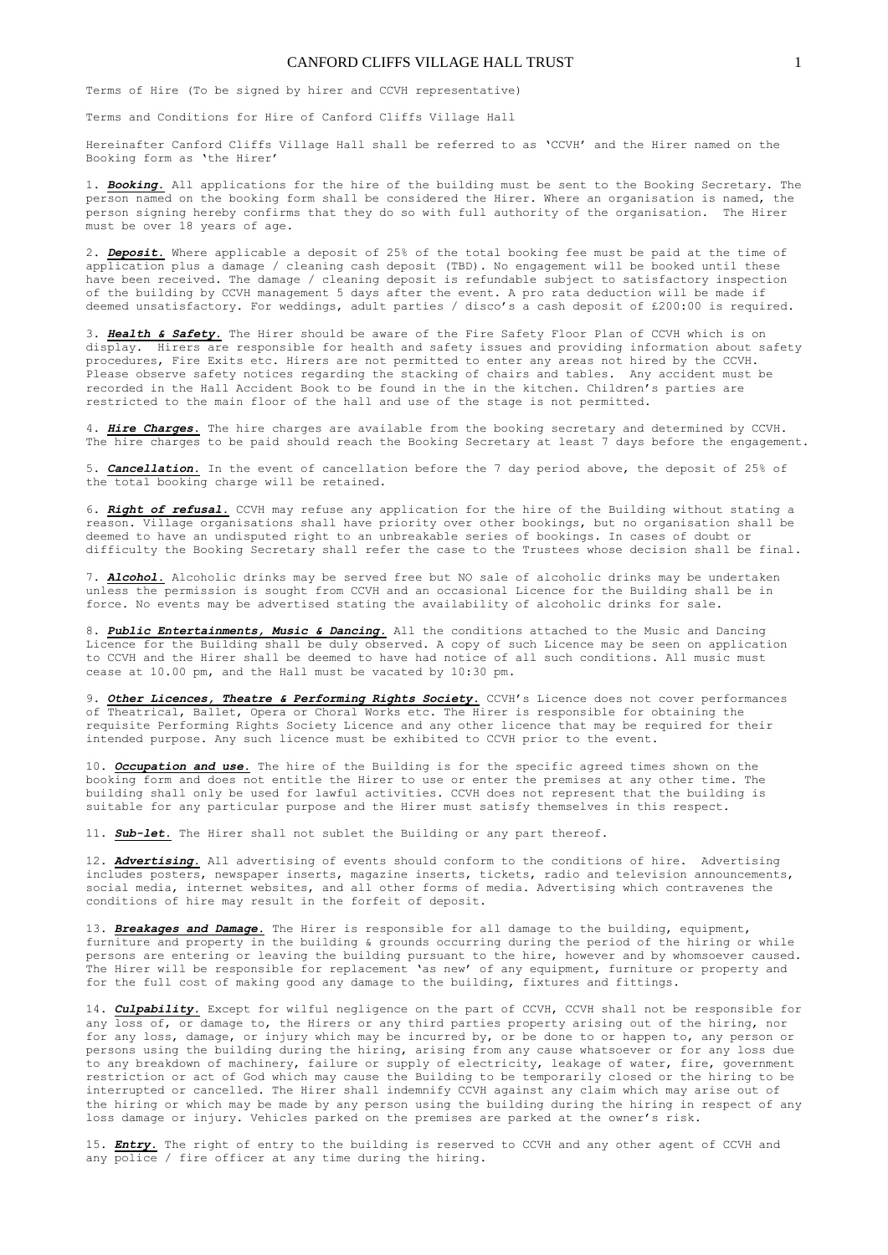## CANFORD CLIFFS VILLAGE HALL TRUST 1

Terms of Hire (To be signed by hirer and CCVH representative)

Terms and Conditions for Hire of Canford Cliffs Village Hall

Hereinafter Canford Cliffs Village Hall shall be referred to as 'CCVH' and the Hirer named on the Booking form as 'the Hirer'

1. *Booking.* All applications for the hire of the building must be sent to the Booking Secretary. The person named on the booking form shall be considered the Hirer. Where an organisation is named, the person signing hereby confirms that they do so with full authority of the organisation. The Hirer must be over 18 years of age.

2. *Deposit.* Where applicable a deposit of 25% of the total booking fee must be paid at the time of application plus a damage / cleaning cash deposit (TBD). No engagement will be booked until these have been received. The damage / cleaning deposit is refundable subject to satisfactory inspection of the building by CCVH management 5 days after the event. A pro rata deduction will be made if deemed unsatisfactory. For weddings, adult parties / disco's a cash deposit of £200:00 is required.

3. **Health & Safety**. The Hirer should be aware of the Fire Safety Floor Plan of CCVH which is on display. Hirers are responsible for health and safety issues and providing information about safety procedures, Fire Exits etc. Hirers are not permitted to enter any areas not hired by the CCVH. Please observe safety notices regarding the stacking of chairs and tables. Any accident must be recorded in the Hall Accident Book to be found in the in the kitchen. Children's parties are restricted to the main floor of the hall and use of the stage is not permitted.

4. *Hire Charges.* The hire charges are available from the booking secretary and determined by CCVH. The hire charges to be paid should reach the Booking Secretary at least 7 days before the engagement.

5. *Cancellation.* In the event of cancellation before the 7 day period above, the deposit of 25% of the total booking charge will be retained.

6. *Right of refusal.* CCVH may refuse any application for the hire of the Building without stating a reason. Village organisations shall have priority over other bookings, but no organisation shall be deemed to have an undisputed right to an unbreakable series of bookings. In cases of doubt or difficulty the Booking Secretary shall refer the case to the Trustees whose decision shall be final.

7. **Alcohol.** Alcoholic drinks may be served free but NO sale of alcoholic drinks may be undertaken unless the permission is sought from CCVH and an occasional Licence for the Building shall be in force. No events may be advertised stating the availability of alcoholic drinks for sale.

8. *Public Entertainments, Music & Dancing.* All the conditions attached to the Music and Dancing Licence for the Building shall be duly observed. A copy of such Licence may be seen on application to CCVH and the Hirer shall be deemed to have had notice of all such conditions. All music must cease at 10.00 pm, and the Hall must be vacated by 10:30 pm.

9. Other Licences, Theatre & Performing Rights Society. CCVH's Licence does not cover performances of Theatrical, Ballet, Opera or Choral Works etc. The Hirer is responsible for obtaining the requisite Performing Rights Society Licence and any other licence that may be required for their intended purpose. Any such licence must be exhibited to CCVH prior to the event.

10. *Occupation and use.* The hire of the Building is for the specific agreed times shown on the booking form and does not entitle the Hirer to use or enter the premises at any other time. The building shall only be used for lawful activities. CCVH does not represent that the building is suitable for any particular purpose and the Hirer must satisfy themselves in this respect.

11. *Sub-let.* The Hirer shall not sublet the Building or any part thereof.

12. *Advertising*. All advertising of events should conform to the conditions of hire. Advertising includes posters, newspaper inserts, magazine inserts, tickets, radio and television announcements, social media, internet websites, and all other forms of media. Advertising which contravenes the conditions of hire may result in the forfeit of deposit.

13. *Breakages and Damage.* The Hirer is responsible for all damage to the building, equipment, furniture and property in the building & grounds occurring during the period of the hiring or while persons are entering or leaving the building pursuant to the hire, however and by whomsoever caused. The Hirer will be responsible for replacement 'as new' of any equipment, furniture or property and for the full cost of making good any damage to the building, fixtures and fittings.

14. *Culpability.* Except for wilful negligence on the part of CCVH, CCVH shall not be responsible for any loss of, or damage to, the Hirers or any third parties property arising out of the hiring, nor for any loss, damage, or injury which may be incurred by, or be done to or happen to, any person or persons using the building during the hiring, arising from any cause whatsoever or for any loss due to any breakdown of machinery, failure or supply of electricity, leakage of water, fire, government restriction or act of God which may cause the Building to be temporarily closed or the hiring to be interrupted or cancelled. The Hirer shall indemnify CCVH against any claim which may arise out of the hiring or which may be made by any person using the building during the hiring in respect of any loss damage or injury. Vehicles parked on the premises are parked at the owner's risk.

15. *Entry.* The right of entry to the building is reserved to CCVH and any other agent of CCVH and any police / fire officer at any time during the hiring.